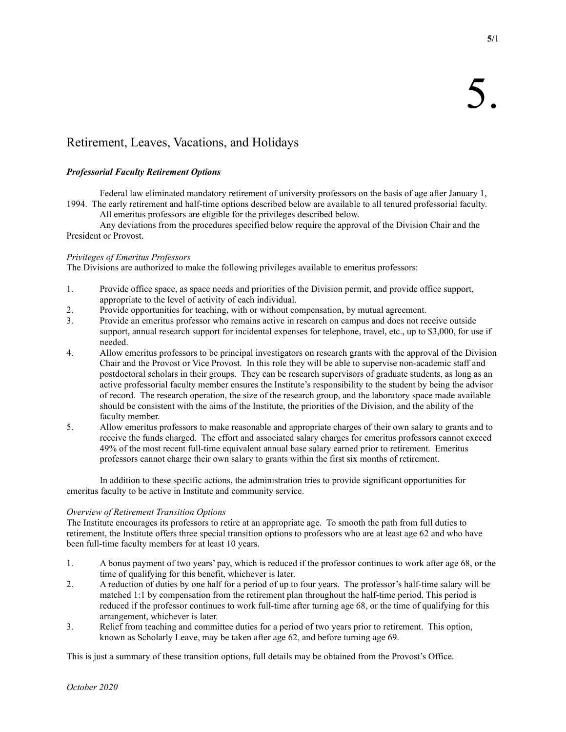**5/**1

# Retirement, Leaves, Vacations, and Holidays

## *Professorial Faculty Retirement Options*

Federal law eliminated mandatory retirement of university professors on the basis of age after January 1, 1994. The early retirement and half-time options described below are available to all tenured professorial faculty.

All emeritus professors are eligible for the privileges described below.

Any deviations from the procedures specified below require the approval of the Division Chair and the President or Provost.

## *Privileges of Emeritus Professors*

The Divisions are authorized to make the following privileges available to emeritus professors:

- 1. Provide office space, as space needs and priorities of the Division permit, and provide office support, appropriate to the level of activity of each individual.
- 2. Provide opportunities for teaching, with or without compensation, by mutual agreement.
- 3. Provide an emeritus professor who remains active in research on campus and does not receive outside support, annual research support for incidental expenses for telephone, travel, etc., up to \$3,000, for use if needed.
- 4. Allow emeritus professors to be principal investigators on research grants with the approval of the Division Chair and the Provost or Vice Provost. In this role they will be able to supervise non-academic staff and postdoctoral scholars in their groups. They can be research supervisors of graduate students, as long as an active professorial faculty member ensures the Institute's responsibility to the student by being the advisor of record. The research operation, the size of the research group, and the laboratory space made available should be consistent with the aims of the Institute, the priorities of the Division, and the ability of the faculty member.
- 5. Allow emeritus professors to make reasonable and appropriate charges of their own salary to grants and to receive the funds charged. The effort and associated salary charges for emeritus professors cannot exceed 49% of the most recent full-time equivalent annual base salary earned prior to retirement. Emeritus professors cannot charge their own salary to grants within the first six months of retirement.

In addition to these specific actions, the administration tries to provide significant opportunities for emeritus faculty to be active in Institute and community service.

## *Overview of Retirement Transition Options*

The Institute encourages its professors to retire at an appropriate age. To smooth the path from full duties to retirement, the Institute offers three special transition options to professors who are at least age 62 and who have been full-time faculty members for at least 10 years.

- 1. A bonus payment of two years' pay, which is reduced if the professor continues to work after age 68, or the time of qualifying for this benefit, whichever is later.
- 2. A reduction of duties by one half for a period of up to four years. The professor's half-time salary will be matched 1:1 by compensation from the retirement plan throughout the half-time period. This period is reduced if the professor continues to work full-time after turning age 68, or the time of qualifying for this arrangement, whichever is later.
- 3. Relief from teaching and committee duties for a period of two years prior to retirement. This option, known as Scholarly Leave, may be taken after age 62, and before turning age 69.

This is just a summary of these transition options, full details may be obtained from the Provost's Office.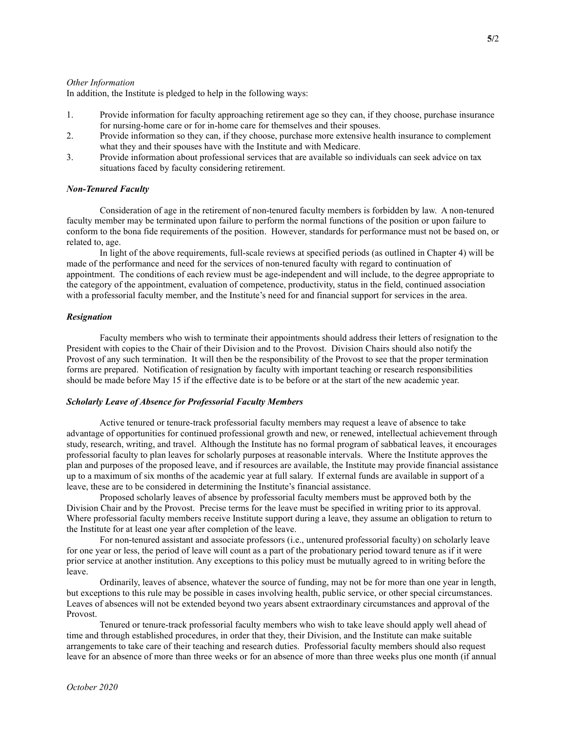#### *Other Information*

In addition, the Institute is pledged to help in the following ways:

- 1. Provide information for faculty approaching retirement age so they can, if they choose, purchase insurance for nursing-home care or for in-home care for themselves and their spouses.
- 2. Provide information so they can, if they choose, purchase more extensive health insurance to complement what they and their spouses have with the Institute and with Medicare.
- 3. Provide information about professional services that are available so individuals can seek advice on tax situations faced by faculty considering retirement.

### *Non-Tenured Faculty*

Consideration of age in the retirement of non-tenured faculty members is forbidden by law. A non-tenured faculty member may be terminated upon failure to perform the normal functions of the position or upon failure to conform to the bona fide requirements of the position. However, standards for performance must not be based on, or related to, age.

In light of the above requirements, full-scale reviews at specified periods (as outlined in Chapter 4) will be made of the performance and need for the services of non-tenured faculty with regard to continuation of appointment. The conditions of each review must be age-independent and will include, to the degree appropriate to the category of the appointment, evaluation of competence, productivity, status in the field, continued association with a professorial faculty member, and the Institute's need for and financial support for services in the area.

#### *Resignation*

Faculty members who wish to terminate their appointments should address their letters of resignation to the President with copies to the Chair of their Division and to the Provost. Division Chairs should also notify the Provost of any such termination. It will then be the responsibility of the Provost to see that the proper termination forms are prepared. Notification of resignation by faculty with important teaching or research responsibilities should be made before May 15 if the effective date is to be before or at the start of the new academic year.

#### *Scholarly Leave of Absence for Professorial Faculty Members*

Active tenured or tenure-track professorial faculty members may request a leave of absence to take advantage of opportunities for continued professional growth and new, or renewed, intellectual achievement through study, research, writing, and travel. Although the Institute has no formal program of sabbatical leaves, it encourages professorial faculty to plan leaves for scholarly purposes at reasonable intervals. Where the Institute approves the plan and purposes of the proposed leave, and if resources are available, the Institute may provide financial assistance up to a maximum of six months of the academic year at full salary. If external funds are available in support of a leave, these are to be considered in determining the Institute's financial assistance.

Proposed scholarly leaves of absence by professorial faculty members must be approved both by the Division Chair and by the Provost. Precise terms for the leave must be specified in writing prior to its approval. Where professorial faculty members receive Institute support during a leave, they assume an obligation to return to the Institute for at least one year after completion of the leave.

For non-tenured assistant and associate professors (i.e., untenured professorial faculty) on scholarly leave for one year or less, the period of leave will count as a part of the probationary period toward tenure as if it were prior service at another institution. Any exceptions to this policy must be mutually agreed to in writing before the leave.

Ordinarily, leaves of absence, whatever the source of funding, may not be for more than one year in length, but exceptions to this rule may be possible in cases involving health, public service, or other special circumstances. Leaves of absences will not be extended beyond two years absent extraordinary circumstances and approval of the Provost.

Tenured or tenure-track professorial faculty members who wish to take leave should apply well ahead of time and through established procedures, in order that they, their Division, and the Institute can make suitable arrangements to take care of their teaching and research duties. Professorial faculty members should also request leave for an absence of more than three weeks or for an absence of more than three weeks plus one month (if annual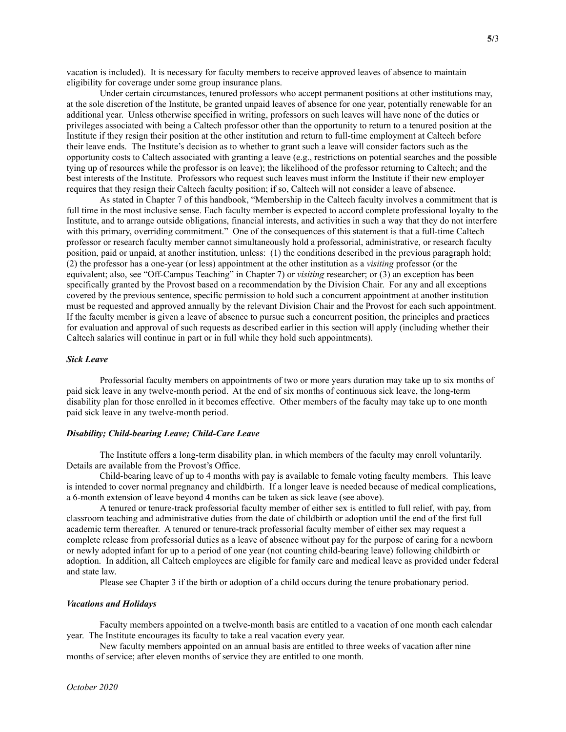vacation is included). It is necessary for faculty members to receive approved leaves of absence to maintain eligibility for coverage under some group insurance plans.

Under certain circumstances, tenured professors who accept permanent positions at other institutions may, at the sole discretion of the Institute, be granted unpaid leaves of absence for one year, potentially renewable for an additional year. Unless otherwise specified in writing, professors on such leaves will have none of the duties or privileges associated with being a Caltech professor other than the opportunity to return to a tenured position at the Institute if they resign their position at the other institution and return to full-time employment at Caltech before their leave ends. The Institute's decision as to whether to grant such a leave will consider factors such as the opportunity costs to Caltech associated with granting a leave (e.g., restrictions on potential searches and the possible tying up of resources while the professor is on leave); the likelihood of the professor returning to Caltech; and the best interests of the Institute. Professors who request such leaves must inform the Institute if their new employer requires that they resign their Caltech faculty position; if so, Caltech will not consider a leave of absence.

As stated in Chapter 7 of this handbook, "Membership in the Caltech faculty involves a commitment that is full time in the most inclusive sense. Each faculty member is expected to accord complete professional loyalty to the Institute, and to arrange outside obligations, financial interests, and activities in such a way that they do not interfere with this primary, overriding commitment." One of the consequences of this statement is that a full-time Caltech professor or research faculty member cannot simultaneously hold a professorial, administrative, or research faculty position, paid or unpaid, at another institution, unless: (1) the conditions described in the previous paragraph hold; (2) the professor has a one-year (or less) appointment at the other institution as a *visiting* professor (or the equivalent; also, see "Off-Campus Teaching" in Chapter 7) or *visiting* researcher; or (3) an exception has been specifically granted by the Provost based on a recommendation by the Division Chair. For any and all exceptions covered by the previous sentence, specific permission to hold such a concurrent appointment at another institution must be requested and approved annually by the relevant Division Chair and the Provost for each such appointment. If the faculty member is given a leave of absence to pursue such a concurrent position, the principles and practices for evaluation and approval of such requests as described earlier in this section will apply (including whether their Caltech salaries will continue in part or in full while they hold such appointments).

### *Sick Leave*

Professorial faculty members on appointments of two or more years duration may take up to six months of paid sick leave in any twelve-month period. At the end of six months of continuous sick leave, the long-term disability plan for those enrolled in it becomes effective. Other members of the faculty may take up to one month paid sick leave in any twelve-month period.

#### *Disability; Child-bearing Leave; Child-Care Leave*

The Institute offers a long-term disability plan, in which members of the faculty may enroll voluntarily. Details are available from the Provost's Office.

Child-bearing leave of up to 4 months with pay is available to female voting faculty members. This leave is intended to cover normal pregnancy and childbirth. If a longer leave is needed because of medical complications, a 6-month extension of leave beyond 4 months can be taken as sick leave (see above).

A tenured or tenure-track professorial faculty member of either sex is entitled to full relief, with pay, from classroom teaching and administrative duties from the date of childbirth or adoption until the end of the first full academic term thereafter. A tenured or tenure-track professorial faculty member of either sex may request a complete release from professorial duties as a leave of absence without pay for the purpose of caring for a newborn or newly adopted infant for up to a period of one year (not counting child-bearing leave) following childbirth or adoption. In addition, all Caltech employees are eligible for family care and medical leave as provided under federal and state law.

Please see Chapter 3 if the birth or adoption of a child occurs during the tenure probationary period.

#### *Vacations and Holidays*

Faculty members appointed on a twelve-month basis are entitled to a vacation of one month each calendar year. The Institute encourages its faculty to take a real vacation every year.

New faculty members appointed on an annual basis are entitled to three weeks of vacation after nine months of service; after eleven months of service they are entitled to one month.